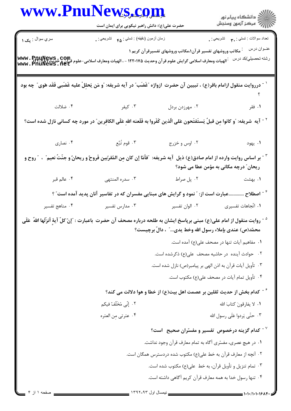| www.PnuNews.com |                                                                                                                                                                                                                                      |                                                                                     |                                                        |
|-----------------|--------------------------------------------------------------------------------------------------------------------------------------------------------------------------------------------------------------------------------------|-------------------------------------------------------------------------------------|--------------------------------------------------------|
|                 | حضرت علی(ع): دانش راهبر نیکویی برای ایمان است                                                                                                                                                                                        |                                                                                     | الار دانشگاه پيام نور<br>الارا مرکز آزمون وسنجش        |
| سري سوال : يک ۱ | زمان أزمون (دقيقه) : تستى : ۴۵ $\bullet$ تشريحي : .                                                                                                                                                                                  |                                                                                     | نعداد سوالات : تستبي : ٣ <sub>٠</sub> ٠     تشريحي : . |
|                 | www • PnuNews • COm<br> الهيات ومعارف اسلامى گرايش علوم قرآن وحديث ۱۲۲۰۱۷۵ - ، الهيات ومعارف اسلامى-علوم قرآن و حديث<br> www • PnuNews • net                                                                                         | <sup>:</sup> مکاتب وروشهای تفسیر قر آن۱،مکاتب وروشهای تفسیرقر آن کریم ۱             | عنــوان درس<br>رشته تحصيلي/كد درس                      |
|                 | <sup>\ -</sup> درروايت منقول ازامام باقر(ع) ، تبيين آن حضرت  ازواژه "غَضَب" در آيه شريفه: "و مَن يَحلِلْ عليه غَضَبى فَقَد هَوى" چه بود                                                                                              |                                                                                     |                                                        |
| ۰۴ ضلالت        | ۰۳ کیفر                                                                                                                                                                                                                              | ۰۲ مهرزدن بردل                                                                      | ۰۱ فقر                                                 |
|                 | `` - آيه  شريفه: "و كانوا مِن قبلٌ يَستَفتَحون عَلى الّذين كَفَروا به فَلَعنه اللهِ عَلَى الكافِرين ٌ در مورد چه كسانى نازل شده است؟                                                                                                 |                                                                                     |                                                        |
| ۰۴ نصاری        | ۰۳ قوم تُبَّع                                                                                                                                                                                                                        | ٠٢ اوس و خزرج                                                                       | ۰۱ يهود                                                |
|                 | <b>لتصبح الله عن الله عنه الله عن</b> الله عنه الله عنه الله عنه الله عن الله عن المصل الله عنها عن الله عن الله عنه ا<br>يسمح الله عن الله عن الله عنه الله عنه الله عنه الله عنه الله عنه الله عنه الله عنه الله عنه الله عنه الله |                                                                                     | ریحان ؒ درچه مکانی به مؤمن عطا می شود؟                 |
| ۰۴ عالم قبر     | ۰۳ سدره المنتهى                                                                                                                                                                                                                      | ۰۲ پل صراط                                                                          | ۰۱ بهشت                                                |
|                 | <sup>۴ -</sup> اصطلاح عبارت است از: " نمود و گرایش های مبنایی مفسران که در تفاسیر آنان پدید آمده است" ؟                                                                                                                              |                                                                                     |                                                        |
| ۰۴ مناهج تفسير  | ۰۳ مدارس تفسیر                                                                                                                                                                                                                       | ۰۲ الوان تفسير                                                                      | ٠١. اتّجاهات تفسيري                                    |
|                 | <sup>ه -</sup> روايت منقول از امام على(ع) مبنى برپاسخ ايشان به طلحه درباره مصحف آن حضرت  باعبارت : <sup>"</sup> إنّ كلّ آيةٍ أنزَلَها اللهُ  عَلَى                                                                                   | محمّد(ص) عندي بإملاء رسول الله وخط يدي″ ، دالٌ برچيست؟                              |                                                        |
|                 |                                                                                                                                                                                                                                      |                                                                                     | ٠١. مفاهيم آيات تنها در مصحف على(ع) آمده است.          |
|                 |                                                                                                                                                                                                                                      | ۰۲ حوادث آینده در حاشیه مصحف علی(ع) ذکرشده است.                                     |                                                        |
|                 |                                                                                                                                                                                                                                      | ۰۳ تأويل آيات قرآن به اذن الهي بر پيامبر(ص) نازل شده است.                           |                                                        |
|                 |                                                                                                                                                                                                                                      |                                                                                     | ۰۴ تأویل تمام آیات در مصحف علی(ع) مکتوب است.           |
|                 |                                                                                                                                                                                                                                      | <sup>۶ -</sup> كدام بخش از حديث ثقلين بر عصمت اهل بيت(ع) از خطا و هوا دلالت مى كند؟ |                                                        |
|                 | ۰۲ إِنِّي مُخَلَّفٌ فيكم                                                                                                                                                                                                             |                                                                                     | ٠١. لا يفارقونَ كتابَ الله                             |
|                 | ۰۴ عترتي من العتره                                                                                                                                                                                                                   |                                                                                     | ۰۳ حتّى يَردوا عَلَى رسول الله                         |
|                 |                                                                                                                                                                                                                                      | د کدام گزینه درخصوص تفسیر و مفسّران صحیح $^{\circ}$ است $^{\circ}$                  |                                                        |
|                 |                                                                                                                                                                                                                                      | ٠١ در هيچ عصري، مفسّري آگاه به تمام معارف قرآن وجود نداشت.                          |                                                        |
|                 |                                                                                                                                                                                                                                      | ۲ . آنچه از معارف قرآن به خط علی(ع) مکتوب شده دردسترس همگان است.                    |                                                        |
|                 |                                                                                                                                                                                                                                      | ۰۳ تمام تنزیل و تأویل قرآن، به خط علی(ع) مکتوب شده است.                             |                                                        |
|                 |                                                                                                                                                                                                                                      | ۰۴ تنها رسول خدا به همه معارف قرآن کریم آگاهی داشته است.                            |                                                        |
|                 |                                                                                                                                                                                                                                      |                                                                                     |                                                        |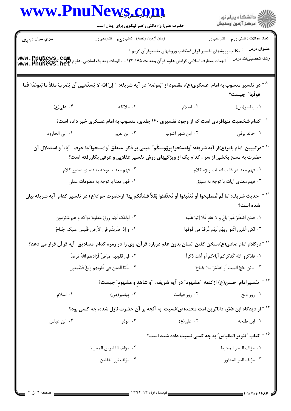| www.PnuNews.com                                  |                                                                                                                                                               |                                                                                        |                                                                |  |
|--------------------------------------------------|---------------------------------------------------------------------------------------------------------------------------------------------------------------|----------------------------------------------------------------------------------------|----------------------------------------------------------------|--|
|                                                  | حضرت علی(ع): دانش راهبر نیکویی برای ایمان است                                                                                                                 |                                                                                        | الارد دانشگاه پيام نور<br>۱۳۸۷ مرکز آزمون وسنجش                |  |
| سري سوال : ۱ يک                                  | زمان أزمون (دقيقه) : تستي : ۴۵ – تشريحي : .                                                                                                                   |                                                                                        | نعداد سوالات : نستي : ۳ <b>. ب</b> ه     نشريحي : <sub>•</sub> |  |
|                                                  |                                                                                                                                                               | <sup>:</sup> مکاتب وروشهای تفسیر قرآن۱،مکاتب وروشهای تفسیرقرآن کریم ۱                  | عنــوان درس                                                    |  |
|                                                  | WWW • PnuNews • COm<br>الهيات ومعارف اسلامي گرايش علوم قرآن وحديث ١٢٢٠١٧۵ - ، الهيات ومعارف اسلامي-علوم قرآن و حديثMww • PnuNews • net<br>WWW • PnuNews • net |                                                                                        | رشته تحصيلي/كد درس                                             |  |
|                                                  |                                                                                                                                                               |                                                                                        |                                                                |  |
|                                                  | ^ - در تفسیر منسوب به امام عسکری(ع)، مقصود از "بَعوضه" در آیه شریفه: ″ إنّ الله لا یَستَحیی أن یَضربَ مثلاً ما بَعوضَهً فَما                                  |                                                                                        | فوقَها″ چيست؟                                                  |  |
| ۰۴ علی(ع)                                        | ۰۳ ملائکه                                                                                                                                                     | ۲. اسلام                                                                               | ۰۱ پیامبر(ص)                                                   |  |
|                                                  | <sup>۹ -</sup> کدام شخصیت تنهافردی است که از وجود تفسیری ۱۲۰ جلدی، منسوب به امام عسکری خبر داده است؟                                                          |                                                                                        |                                                                |  |
| ۰۴ ابی الجارود                                   | ۰۳ ابن ندیم                                                                                                                                                   | ۰۲ ابن شهر آشوب                                                                        | ١. خالد برقي                                                   |  |
|                                                  | `` در تبيين امام باقر(ع)از آيه شريفه: "وامسَحوا بِرؤوسكُم" مبنى بر ذكر  متعلّق "وامسحوا"،با حرف   "باء" و استدلال آن                                          |                                                                                        |                                                                |  |
|                                                  | حضرت به مسح بخشی از سر ، کدام یک از ویژگیهای روش تفسیر عقلایی و عرفی بکاررفته است؟                                                                            |                                                                                        |                                                                |  |
|                                                  | ۰۲ فهم معنا با توجه به فضای صدور کلام                                                                                                                         |                                                                                        | ٠١ فهم معنا در قالب ادبيات ويژه كلام                           |  |
|                                                  | ۰۴ فهم معنا با توجه به معلومات عقلي                                                                                                                           | ۰۳ فهم معنای آیات با توجه به سیاق                                                      |                                                                |  |
|                                                  | حديث شريف: "ما لَم تَصطبحوا أو تَغتَبقوا أو تَحتَفئوا بَقلاً فشأنكم بِها" ازحضرت جواد(ع) در تفسير كدام ۖ آيه شريفه بيان                                       |                                                                                        |                                                                |  |
|                                                  |                                                                                                                                                               |                                                                                        | شده است؟                                                       |  |
| ۰۲ اولئک لَهُم رِزقٌ مَعلومٌ فواکه و هم مُکرَمون |                                                                                                                                                               | ١. فَمَن اضْطُرّ غَيرَ باغٍ و لا عاد فَلا إثمَ عَلَيه                                  |                                                                |  |
|                                                  | ۴ .  و إذا ضَرَبتُم في الأرضِ فَلَيس عليكم جُناحٌ ۖ                                                                                                           |                                                                                        | ٢. لكن الّذين اتّقوا ربّهُم لَهُم غُرَفٌ من فَوقها             |  |
|                                                  | <sup>۱۲ -</sup> درکلام امام صادق(ع)،سخن گفتن انسان بدون علم درباره قرآن، وی را در زمره کدام  مصادیق  آیه قرآن قرار می دهد؟                                    |                                                                                        |                                                                |  |
| ٢.  في قلوبهم مَرَضٌ فَزادهم اللهُ مَرَضاً       |                                                                                                                                                               | ٠١. فاذكروا الله كَذكركم آباءكم أو أشدَّ ذكراً                                         |                                                                |  |
|                                                  | ۴. فَأَمّا الّذين في قُلوبهم زَيغٌ فَيَتّبعون                                                                                                                 | ٠٣ فَمَن حَجِّ البيت أو اعتَمَرَ فلا جُناحَ                                            |                                                                |  |
|                                                  |                                                                                                                                                               | <sup>۱۳ -</sup> تفسیرامام حسن(ع) ازکلمه "مشهود" در آیه شریفه: "و شاهدِ و مشهودِ" چیست؟ |                                                                |  |
| ۰۴ اسلام                                         | ۰۳ پیامبر(ص)                                                                                                                                                  | ۰۲ روز قیامت                                                                           | ۰۱ روز ذبح                                                     |  |
|                                                  | <sup>۱۴ -</sup> از دیدگاه ابن عُمَر، داناترین امت محمد(ص)نسبت  به آنچه بر آن حضرت نازل شده، چه کسی بود؟                                                       |                                                                                        |                                                                |  |
| ۰۴ ابن عباس                                      | ۰۳ ابوذر                                                                                                                                                      | ۰۲ علی(ع)                                                                              | ۰۱ ابن طلحه                                                    |  |
|                                                  |                                                                                                                                                               | <sup>۱۵ -</sup> کتاب "تنویر المقباس" به چه کسی نسبت داده شده است؟                      |                                                                |  |
| ٢.  مؤلف القاموس المحيط                          |                                                                                                                                                               |                                                                                        | ٠١ مؤلف البحر المحيط                                           |  |
|                                                  |                                                                                                                                                               |                                                                                        |                                                                |  |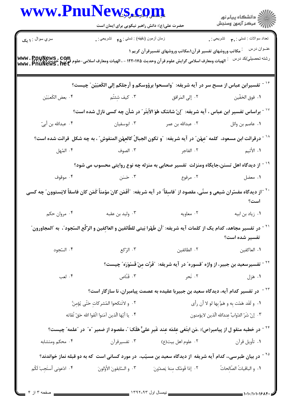|                           | حضرت علی(ع): دانش راهبر نیکویی برای ایمان است                                                                                                     |                                                                                                 | الا دانشگاه پيام نور<br>  پر مرکز آزمون وسنجش                                                                               |  |
|---------------------------|---------------------------------------------------------------------------------------------------------------------------------------------------|-------------------------------------------------------------------------------------------------|-----------------------------------------------------------------------------------------------------------------------------|--|
| سري سوال : ۱ يک           | زمان أزمون (دقيقه) : تستي : <sub>۴۵</sub> تشريحي : .                                                                                              |                                                                                                 | نعداد سوالات : نستي : پم       نشريحي : .                                                                                   |  |
|                           |                                                                                                                                                   | <sup>:</sup> مکاتب وروشهای تفسیر قرآن۱،مکاتب وروشهای تفسیرقرآن کریم ۱                           | عنــوان درس                                                                                                                 |  |
|                           | --<br>WWW • RR\FAY سلامی گرایش علوم قرآن وحدیث ۱۲۲۰۱۷۵ - ، الهیات ومعارف اسلامی-علوم قرآن و حدیث WWW • RR\FAY<br>WWW • PNUNeWS • Net              |                                                                                                 | رشته تحصيلي/كد درس                                                                                                          |  |
|                           | تفسيرابن عباس از مسح سر در آيه شريفه: ″وامسحوا برؤوسكم و أرجلكم إلى الكَعبَيْن″ چيست؟                                                             |                                                                                                 |                                                                                                                             |  |
|                           | ٣. كيف شئتُم سعف الكَعبَيْن                                                                                                                       | ٢. إلى المَرافق                                                                                 | ٠١. فوق الخفّين                                                                                                             |  |
|                           | `` - براساس تفسیر ابن عباس ، آیه شریفه: آإنّ شانئک هُوَ الأبتَر ً در شأن چه کسی نازل شده است؟                                                     |                                                                                                 |                                                                                                                             |  |
| ۰۴ عبدالله بن أبيّ        |                                                                                                                                                   |                                                                                                 |                                                                                                                             |  |
|                           | <sup>۱۸ -</sup> درقرائت ابن مسعود،  كلمه "عِهْن ّ در آيه شريفه:   ّو تكون الجبالُ كالعِهْنِ المنفوشِ ّ ، به چه شكل  قرائت شده است؟                |                                                                                                 |                                                                                                                             |  |
| ۰۴ المُهل                 | ۰۳ الصوف                                                                                                                                          | ٢. الفاجر                                                                                       | ا . الأثيم المسلمين المسلمين المسلمين المسلمين المسلمين المسلمين المسلمين المسلمين المسلمين المسلمين المسلمين ا<br>المسلمين |  |
|                           | <sup>۱۹ -</sup> از دیدگاه اهل تسنن،جایگاه ومنزلت  تفسیر صحابی به منزله چه نوع روایتی محسوب می شود؟                                                |                                                                                                 |                                                                                                                             |  |
| ۰۴ موقوف                  | ۰۳ مرفوع می دراست است. تا به عکسی است و مراجع است که مرفوع است که است که است که است که است که است که است که اس                                    |                                                                                                 | ٠١. معضل                                                                                                                    |  |
|                           | `` -از دیدگاه مفسّران شیعی و سنّی، مقصود از "فاسِقاً" در آیه شریفه: "أفَمَن کانَ مؤمناً کَمَن کان فاسقاً لایَستوون″ چه کسی                        |                                                                                                 | است؟                                                                                                                        |  |
| ۰۴ مروان حکم              | ۰۳ وليد بن عقبه                                                                                                                                   | ۰۲ معاویه و در ۱                                                                                | ۰۱ زیاد بن ابیه                                                                                                             |  |
|                           | `` - در تفسير مجاهد، كدام يك از كلمات آيه شريفه: "أن طَهّرا بَيتى للطّائفين و العاكِفين و الرّكّع السّجود"، به "المجاورون"                        |                                                                                                 | تفسير شده است؟                                                                                                              |  |
| ۰۴ السّجود                | ۰۳ الرّکع                                                                                                                                         | ۰۲ الطائفين                                                                                     | ٠١ العاكفين                                                                                                                 |  |
|                           |                                                                                                                                                   | <sup>۲۲ -</sup> تفسیرسعید بن جبیر، از واژه "قسوره" در آیه شریفه:  "فَرَّت مِنْ قَسْوَرَه" چیست؟ |                                                                                                                             |  |
| ۰۴ لعب                    | ۰۳ قَنَّاص                                                                                                                                        | ٢. نَحر                                                                                         | ۰۱ هَزل                                                                                                                     |  |
|                           |                                                                                                                                                   | <sup>۲۳ -</sup> در تفسیر کدام آیه، دیدگاه سعید بن جبیربا عقیده به عصمت پیامبران، نا سازگار است؟ |                                                                                                                             |  |
|                           | ٢. ۚ و لاتَنكحوا المُشرِ كاتِ حَتَّى يُؤمِنَّ                                                                                                     |                                                                                                 | ٠١ و لَقَد هَمّت بِه و هَمَّ بِها لو لا أن رأى                                                                              |  |
|                           | ۰۴   يا أيّها الّذين آمَنوا اتّقوا الله حَقّ تُقاته                                                                                               |                                                                                                 | ٠٣ إنّ شَرّ الدّوابِّ عندالله الّذين لايؤمنون                                                                               |  |
|                           | <sup>۲۴ -</sup> در خطبه منقو ل از پیامبر(ص): .مَن ابتَغی عِلمَه عِند غَیرِ علیٍّ هَلَکَ ّ، مقصود از ضمیر <sup>"</sup> ه ً در "علمه <i>"</i> چیست؟ |                                                                                                 |                                                                                                                             |  |
| ۰۴ محکم ومتشابه           |                                                                                                                                                   |                                                                                                 | ٠١ تأويل قرآن                                                                                                               |  |
|                           | <sup>۲۵ -</sup> در بیان طبرسی،، کدام آیه شریفه از دیدگاه سعید بن مسیّب، در مورد کسانی است که به دو قبله نماز خواندند؟                             |                                                                                                 |                                                                                                                             |  |
| ۴. ادْعونى أستَجِبْ لَكُم | ٠٣ و السّابقونَ الأوّلونَ                                                                                                                         | ٠٢ إذا قَومُک مِنهُ يَصدَّونَ                                                                   | ٠١. و الباقياتُ الصّالحاتُ                                                                                                  |  |

 $\overline{a}$